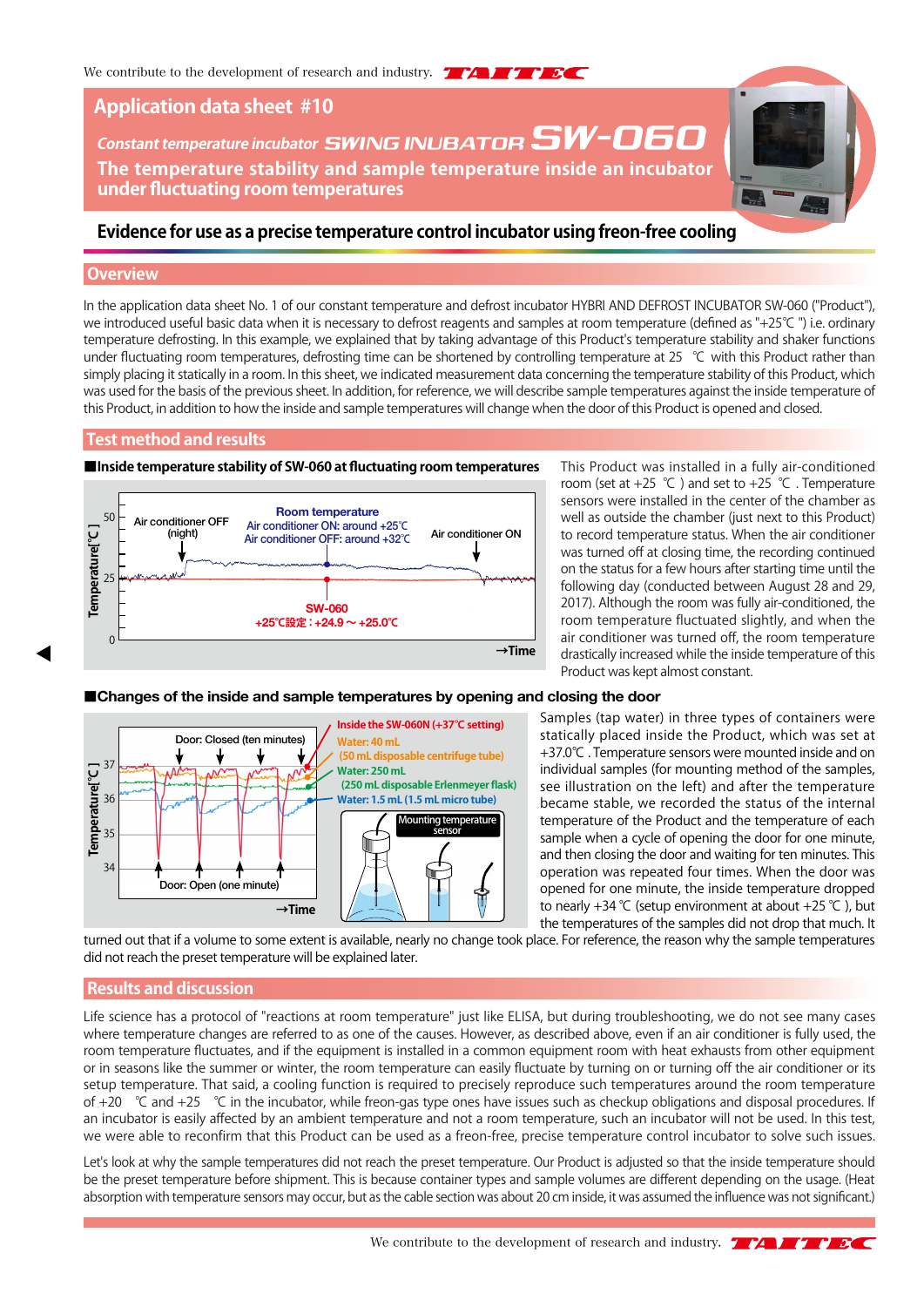# **Application data sheet #10**

**Constant temperature incubator SWING INUBATOR SW-060 The temperature stability and sample temperature inside an incubator under fluctuating room temperatures**

# **Evidence for use as a precise temperature control incubator using freon-free cooling**

#### **Overview**

In the application data sheet No. 1 of our constant temperature and defrost incubator HYBRI AND DEFROST INCUBATOR SW-060 ("Product"), we introduced useful basic data when it is necessary to defrost reagents and samples at room temperature (defined as "+25℃ ") i.e. ordinary temperature defrosting. In this example, we explained that by taking advantage of this Product's temperature stability and shaker functions under fluctuating room temperatures, defrosting time can be shortened by controlling temperature at 25 ℃ with this Product rather than simply placing it statically in a room. In this sheet, we indicated measurement data concerning the temperature stability of this Product, which was used for the basis of the previous sheet. In addition, for reference, we will describe sample temperatures against the inside temperature of this Product, in addition to how the inside and sample temperatures will change when the door of this Product is opened and closed.

### **Test method and results**



This Product was installed in a fully air-conditioned room (set at  $+25$  °C) and set to  $+25$  °C. Temperature sensors were installed in the center of the chamber as well as outside the chamber (just next to this Product) to record temperature status. When the air conditioner was turned off at closing time, the recording continued on the status for a few hours after starting time until the following day (conducted between August 28 and 29, 2017). Although the room was fully air-conditioned, the room temperature fluctuated slightly, and when the air conditioner was turned off, the room temperature drastically increased while the inside temperature of this Product was kept almost constant.

#### ■**Changes of the inside and sample temperatures by opening and closing the door**



Samples (tap water) in three types of containers were statically placed inside the Product, which was set at +37.0℃ . Temperature sensors were mounted inside and on individual samples (for mounting method of the samples, see illustration on the left) and after the temperature became stable, we recorded the status of the internal temperature of the Product and the temperature of each sample when a cycle of opening the door for one minute, and then closing the door and waiting for ten minutes. This operation was repeated four times. When the door was opened for one minute, the inside temperature dropped to nearly +34 °C (setup environment at about +25 °C), but the temperatures of the samples did not drop that much. It

turned out that if a volume to some extent is available, nearly no change took place. For reference, the reason why the sample temperatures did not reach the preset temperature will be explained later.

### **Results and discussion**

Life science has a protocol of "reactions at room temperature" just like ELISA, but during troubleshooting, we do not see many cases where temperature changes are referred to as one of the causes. However, as described above, even if an air conditioner is fully used, the room temperature fluctuates, and if the equipment is installed in a common equipment room with heat exhausts from other equipment or in seasons like the summer or winter, the room temperature can easily fluctuate by turning on or turning off the air conditioner or its setup temperature. That said, a cooling function is required to precisely reproduce such temperatures around the room temperature of +20 ℃ and +25 ℃ in the incubator, while freon-gas type ones have issues such as checkup obligations and disposal procedures. If an incubator is easily affected by an ambient temperature and not a room temperature, such an incubator will not be used. In this test, we were able to reconfirm that this Product can be used as a freon-free, precise temperature control incubator to solve such issues.

Let's look at why the sample temperatures did not reach the preset temperature. Our Product is adjusted so that the inside temperature should be the preset temperature before shipment. This is because container types and sample volumes are different depending on the usage. (Heat absorption with temperature sensors may occur, but as the cable section was about 20 cm inside, it was assumed the influence was not significant.)